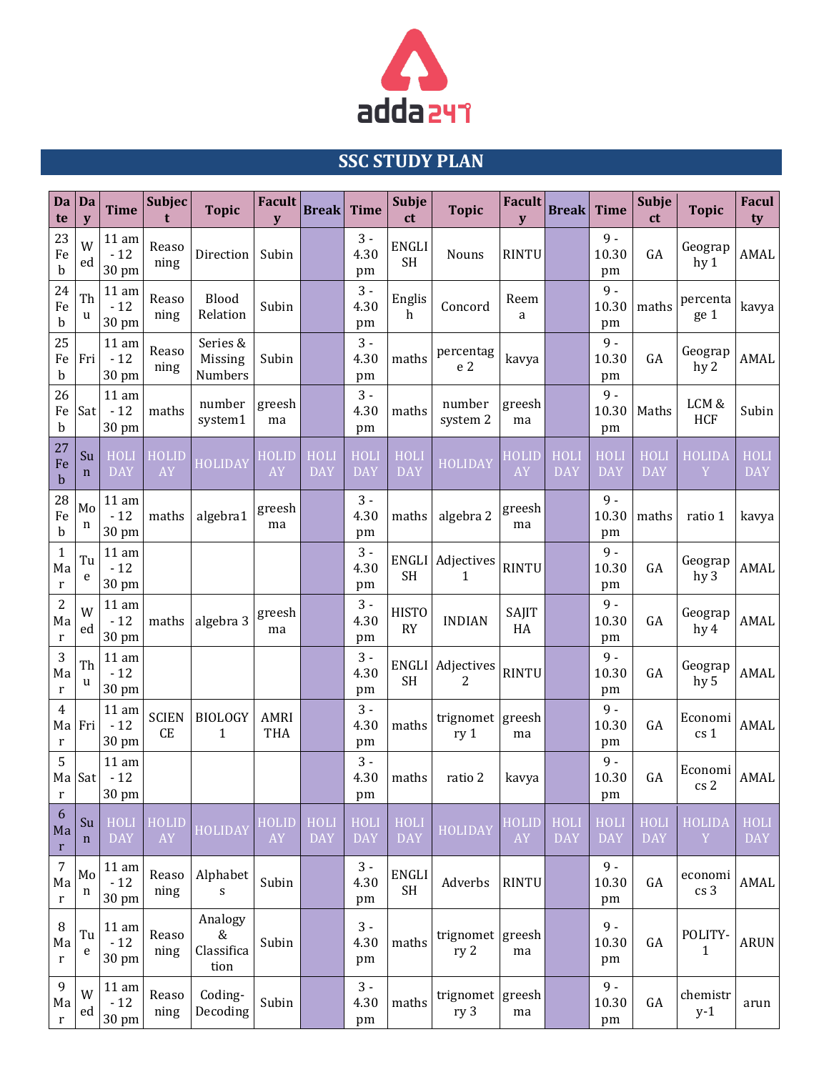

## **SSC STUDY PLAN**

| Da<br>te                            | Da<br>y           | <b>Time</b>             | <b>Subjec</b><br>t | <b>Topic</b>                          | <b>Facult</b><br>y | <b>Break</b>             | <b>Time</b>         | <b>Subje</b><br>ct        | <b>Topic</b>                        | <b>Facult</b><br>${\bf y}$ | <b>Break</b>              | <b>Time</b>              | <b>Subje</b><br>ct | <b>Topic</b>                 | <b>Facul</b><br>ty        |
|-------------------------------------|-------------------|-------------------------|--------------------|---------------------------------------|--------------------|--------------------------|---------------------|---------------------------|-------------------------------------|----------------------------|---------------------------|--------------------------|--------------------|------------------------------|---------------------------|
| 23<br>Fe<br>$\mathbf b$             | W<br>ed           | 11 am<br>$-12$<br>30 pm | Reaso<br>ning      | Direction                             | Subin              |                          | $3 -$<br>4.30<br>pm | <b>ENGLI</b><br><b>SH</b> | Nouns                               | <b>RINTU</b>               |                           | $9 -$<br>10.30<br>pm     | GA                 | Geograp<br>hy 1              | AMAL                      |
| 24<br>Fe<br>b                       | Th<br>u           | 11 am<br>$-12$<br>30 pm | Reaso<br>ning      | Blood<br>Relation                     | Subin              |                          | $3 -$<br>4.30<br>pm | Englis<br>h               | Concord                             | Reem<br>a                  |                           | $9 -$<br>10.30<br>pm     | maths              | percenta<br>ge 1             | kavya                     |
| 25<br>Fe<br>b                       | Fri               | 11 am<br>$-12$<br>30 pm | Reaso<br>ning      | Series &<br>Missing<br>Numbers        | Subin              |                          | $3 -$<br>4.30<br>pm | maths                     | percentag<br>e <sub>2</sub>         | kavya                      |                           | $9 -$<br>10.30<br>pm     | GA                 | Geograp<br>hy 2              | AMAL                      |
| 26<br>Fe<br>$\mathbf b$             | Sat               | 11 am<br>$-12$<br>30 pm | maths              | number<br>system1                     | greesh<br>ma       |                          | $3 -$<br>4.30<br>pm | maths                     | number<br>system 2                  | greesh<br>ma               |                           | $9 -$<br>10.30<br>pm     | Maths              | LCM&<br><b>HCF</b>           | Subin                     |
| 27<br>Fe<br>$\mathbf b$             | Su<br>$\mathbf n$ | HOLI<br><b>DAY</b>      | HOLID<br>AY        | <b>HOLIDAY</b>                        | <b>HOLID</b><br>AY | <b>HOL</b><br><b>DAY</b> | HOLI<br>DAY         | <b>HOLI</b><br><b>DAY</b> | <b>HOLIDAY</b>                      | <b>HOLID</b><br>AY         | <b>HOLI</b><br><b>DAY</b> | <b>HOL</b><br><b>DAY</b> | HOLI<br><b>DAY</b> | <b>HOLIDA</b><br>Y           | HOLI<br><b>DAY</b>        |
| 28<br>Fe<br>b                       | Mo<br>n           | 11 am<br>$-12$<br>30 pm | maths              | algebra1                              | greesh<br>ma       |                          | $3 -$<br>4.30<br>pm | maths                     | algebra 2                           | greesh<br>ma               |                           | $9 -$<br>10.30<br>pm     | maths              | ratio 1                      | kavya                     |
| $\mathbf{1}$<br>Ma<br>$\mathbf{r}$  | Tu<br>е           | 11 am<br>$-12$<br>30 pm |                    |                                       |                    |                          | $3 -$<br>4.30<br>pm | <b>ENGLI</b><br><b>SH</b> | Adjectives<br>$\mathbf{1}$          | <b>RINTU</b>               |                           | $9 -$<br>10.30<br>pm     | GA                 | Geograp<br>hy <sub>3</sub>   | AMAL                      |
| $\overline{2}$<br>Ma<br>$\mathbf r$ | W<br>ed           | 11 am<br>$-12$<br>30 pm | maths              | algebra 3                             | greesh<br>ma       |                          | $3 -$<br>4.30<br>pm | <b>HISTO</b><br><b>RY</b> | <b>INDIAN</b>                       | SAJIT<br>HA                |                           | $9 -$<br>10.30<br>pm     | GA                 | Geograp<br>hy <sub>4</sub>   | AMAL                      |
| 3<br>Ma<br>$\mathbf r$              | Th<br>u           | 11 am<br>$-12$<br>30 pm |                    |                                       |                    |                          | $3 -$<br>4.30<br>pm | ENGLI<br><b>SH</b>        | Adjectives<br>2                     | RINTU                      |                           | $9 -$<br>10.30<br>pm     | GA                 | Geograp<br>hy 5              | AMAL                      |
| $\overline{4}$<br>Ma<br>r           | Fri               | 11 am<br>$-12$<br>30 pm | <b>SCIEN</b><br>CE | <b>BIOLOGY</b><br>$\mathbf{1}$        | AMRI<br><b>THA</b> |                          | $3 -$<br>4.30<br>pm | maths                     | trignomet greesh<br>ry <sub>1</sub> | ma                         |                           | $9 -$<br>10.30<br>pm     | GA                 | Economi<br>cs 1              | AMAL                      |
| 5<br>$r_{\rm}$                      | Ma Sat            | 11 am<br>$-12$<br>30 pm |                    |                                       |                    |                          | $3 -$<br>4.30<br>pm | maths                     | ratio 2                             | kavya                      |                           | $9 -$<br>10.30<br>pm     | GA                 | Economi<br>cs 2              | AMAL                      |
| 6<br>Ma<br>$\mathbf r$              | Su<br>$\mathbf n$ | HOLI<br><b>DAY</b>      | HOLID<br>AY        | HOLIDAY                               | <b>HOLID</b><br>AY | HOLI<br><b>DAY</b>       | HOLI<br><b>DAY</b>  | <b>HOLI</b><br><b>DAY</b> | <b>HOLIDAY</b>                      | <b>HOLID</b><br>AY         | <b>HOLI</b><br><b>DAY</b> | HOLI<br><b>DAY</b>       | HOLI<br><b>DAY</b> | <b>HOLIDA</b><br>$\mathbf Y$ | <b>HOLI</b><br><b>DAY</b> |
| $\sqrt{ }$<br>Ma<br>$\mathbf r$     | Mo<br>n           | 11 am<br>$-12$<br>30 pm | Reaso<br>ning      | Alphabet<br>S                         | Subin              |                          | $3 -$<br>4.30<br>pm | <b>ENGLI</b><br><b>SH</b> | Adverbs                             | <b>RINTU</b>               |                           | $9 -$<br>10.30<br>pm     | GA                 | economi<br>cs 3              | AMAL                      |
| $\, 8$<br>Ma<br>$\mathbf r$         | Tu<br>e           | 11 am<br>$-12$<br>30 pm | Reaso<br>ning      | Analogy<br>$\&$<br>Classifica<br>tion | Subin              |                          | $3 -$<br>4.30<br>pm | maths                     | trignomet greesh<br>ry 2            | ma                         |                           | $9 -$<br>10.30<br>pm     | GA                 | POLITY-<br>$\mathbf{1}$      | <b>ARUN</b>               |
| 9<br>Ma<br>$\mathbf r$              | W<br>ed           | 11 am<br>$-12$<br>30 pm | Reaso<br>ning      | Coding-<br>Decoding                   | Subin              |                          | $3 -$<br>4.30<br>pm | maths                     | trignomet greesh<br>ry 3            | ma                         |                           | $9 -$<br>10.30<br>pm     | GA                 | chemistr<br>$y-1$            | arun                      |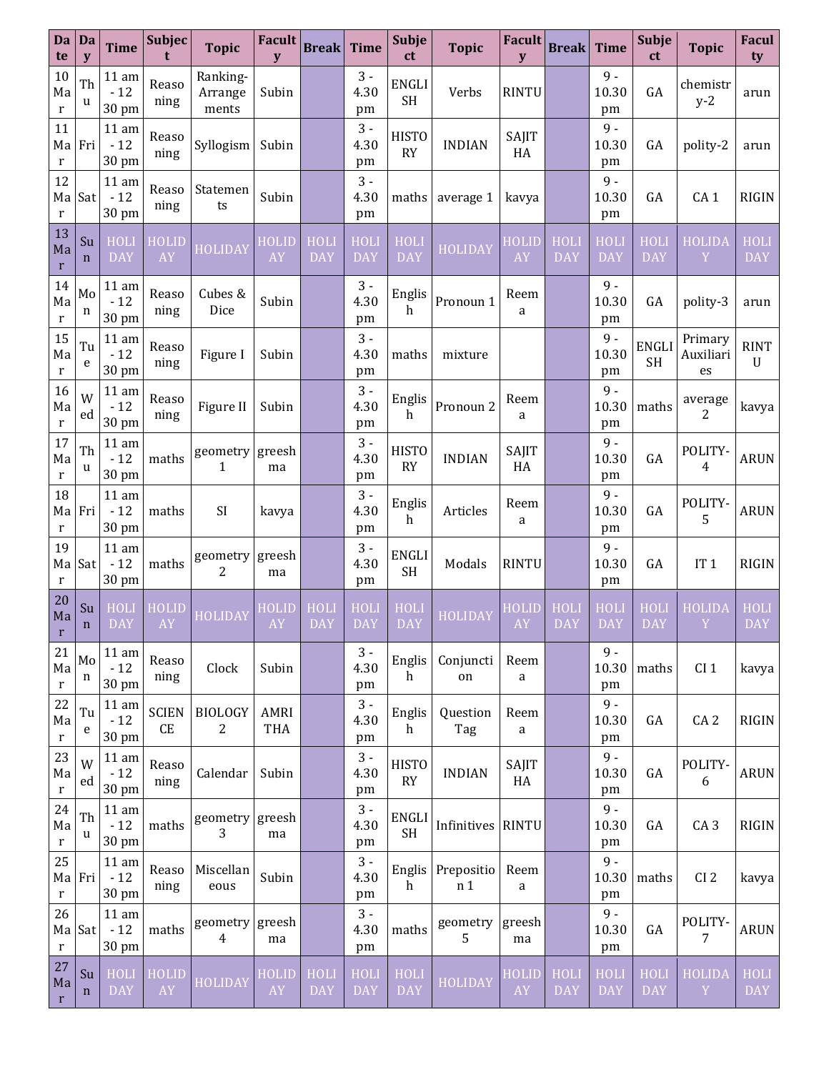| Da<br>te                 | Da<br>y           | <b>Time</b>                                     | <b>Subjec</b><br>t | <b>Topic</b>                     | Facult<br>${\bf y}$ | <b>Break</b>              | <b>Time</b>               | <b>Subje</b><br>ct        | <b>Topic</b>                        | (Facult   Break)<br>$\mathbf{y}$ |                           | <b>Time</b>               | <b>Subje</b><br>ct        | <b>Topic</b>               | <b>Facul</b><br>ty         |
|--------------------------|-------------------|-------------------------------------------------|--------------------|----------------------------------|---------------------|---------------------------|---------------------------|---------------------------|-------------------------------------|----------------------------------|---------------------------|---------------------------|---------------------------|----------------------------|----------------------------|
| 10<br>Ma<br>$\mathbf{r}$ | Th<br>$\mathbf u$ | 11 am<br>$-12$<br>30 pm                         | Reaso<br>ning      | Ranking-<br>Arrange<br>ments     | Subin               |                           | $3 -$<br>4.30<br>pm       | <b>ENGLI</b><br><b>SH</b> | Verbs                               | <b>RINTU</b>                     |                           | $9 -$<br>10.30<br>pm      | GA                        | chemistr<br>$y-2$          | arun                       |
| 11<br>Ma<br>r            | Fri               | 11 am<br>$-12$<br>30 pm                         | Reaso<br>ning      | Syllogism                        | Subin               |                           | $3 -$<br>4.30<br>pm       | <b>HISTO</b><br><b>RY</b> | <b>INDIAN</b>                       | SAJIT<br>HA                      |                           | $9 -$<br>10.30<br>pm      | GA                        | polity-2                   | arun                       |
| 12<br>Ma<br>$\mathbf r$  | Sat               | 11 am<br>$-12$<br>30 pm                         | Reaso<br>ning      | Statemen<br>ts                   | Subin               |                           | $3 -$<br>4.30<br>pm       | maths                     | average 1                           | kavya                            |                           | $9 -$<br>10.30<br>pm      | GA                        | CA <sub>1</sub>            | <b>RIGIN</b>               |
| 13<br>Ma<br>$\mathbf{r}$ | Su<br>$\mathbf n$ | <b>HOLI</b><br><b>DAY</b>                       | <b>HOLID</b><br>AY | <b>HOLIDAY</b>                   | HOLID<br>AY         | HOLI<br><b>DAY</b>        | <b>HOLI</b><br><b>DAY</b> | <b>HOLI</b><br><b>DAY</b> | <b>HOLIDAY</b>                      | <b>HOLID</b><br>${\rm AY}$       | <b>HOLI</b><br><b>DAY</b> | HOLI<br><b>DAY</b>        | <b>HOLI</b><br><b>DAY</b> | <b>HOLIDA</b><br>Y         | <b>HOLI</b><br><b>DAY</b>  |
| 14<br>Ma<br>$\mathbf r$  | Mo<br>n           | $11\,\mathrm{am}$<br>$-12$<br>$30\ \mathrm{pm}$ | Reaso<br>ning      | Cubes &<br>Dice                  | Subin               |                           | $3 -$<br>4.30<br>pm       | Englis<br>h               | Pronoun 1                           | Reem<br>a                        |                           | $9 -$<br>10.30<br>pm      | GA                        | polity-3                   | arun                       |
| 15<br>Ma<br>$\bf r$      | Tu<br>e           | 11 am<br>$-12$<br>30 pm                         | Reaso<br>ning      | Figure I                         | Subin               |                           | $3 -$<br>4.30<br>pm       | maths                     | mixture                             |                                  |                           | $9 -$<br>10.30<br>pm      | <b>ENGLI</b><br><b>SH</b> | Primary<br>Auxiliari<br>es | <b>RINT</b><br>$\mathbf U$ |
| 16<br>Ma<br>$\mathbf r$  | W<br>ed           | 11 am<br>$-12$<br>30 pm                         | Reaso<br>ning      | Figure II                        | Subin               |                           | $3 -$<br>4.30<br>pm       | Englis<br>$h$             | Pronoun <sub>2</sub>                | Reem<br>a                        |                           | $9 -$<br>10.30<br>pm      | maths                     | average<br>$\overline{2}$  | kavya                      |
| 17<br>Ma<br>$\mathbf r$  | Th<br>u           | 11 am<br>$-12$<br>30 pm                         | maths              | geometry<br>$\mathbf{1}$         | greesh<br>ma        |                           | $3 -$<br>4.30<br>pm       | <b>HISTO</b><br><b>RY</b> | <b>INDIAN</b>                       | SAJIT<br>HA                      |                           | $9 -$<br>10.30<br>pm      | GA                        | POLITY-<br>$\overline{4}$  | <b>ARUN</b>                |
| 18<br>Ma<br>r            | Fri               | 11 am<br>$-12$<br>30 pm                         | maths              | <b>SI</b>                        | kavya               |                           | $3 -$<br>4.30<br>pm       | Englis<br>$\mathbf h$     | Articles                            | Reem<br>a                        |                           | $9 -$<br>10.30<br>pm      | GA                        | POLITY-<br>5               | <b>ARUN</b>                |
| 19<br>Ma<br>$\mathbf r$  | Sat               | 11 am<br>$-12$<br>30 pm                         | maths              | geometry<br>$\overline{2}$       | greesh<br>ma        |                           | $3 -$<br>4.30<br>pm       | <b>ENGLI</b><br><b>SH</b> | Modals                              | <b>RINTU</b>                     |                           | $9 -$<br>10.30<br>pm      | GA                        | IT <sub>1</sub>            | <b>RIGIN</b>               |
| 20<br>Ma<br>r            | Su<br>$\mathbf n$ | HOLI<br><b>DAY</b>                              | HOLID<br>AY        | <b>HOLIDAY</b>                   | HOLID<br>AY         | <b>HOLI</b><br><b>DAY</b> | <b>HOLI</b><br><b>DAY</b> | <b>HOLI</b><br><b>DAY</b> | <b>HOLIDAY</b>                      | <b>HOLID</b><br>${\rm A}{\rm Y}$ | <b>HOLI</b><br><b>DAY</b> | <b>HOLI</b><br><b>DAY</b> | <b>HOLI</b><br><b>DAY</b> | <b>HOLIDA</b><br>Y         | <b>HOLI</b><br><b>DAY</b>  |
| 21<br>Ma<br>$\mathbf r$  | Mo<br>n           | 11 am<br>$-12$<br>$30\ \mathrm{pm}$             | Reaso<br>ning      | Clock                            | Subin               |                           | $3 -$<br>4.30<br>pm       | Englis<br>h               | Conjuncti<br>on                     | Reem<br>a                        |                           | $9 -$<br>10.30<br>pm      | maths                     | CI <sub>1</sub>            | kavya                      |
| 22<br>Ma<br>r            | Tu<br>e           | $11\,\mathrm{am}$<br>$-12$<br>30 pm             | <b>SCIEN</b><br>CE | <b>BIOLOGY</b><br>$\overline{2}$ | AMRI<br><b>THA</b>  |                           | $3 -$<br>4.30<br>pm       | Englis<br>h               | Question<br>Tag                     | Reem<br>a                        |                           | $9 -$<br>10.30<br>pm      | GA                        | CA <sub>2</sub>            | <b>RIGIN</b>               |
| 23<br>Ma<br>$\mathbf r$  | W<br>ed           | 11 am<br>$-12$<br>30 pm                         | Reaso<br>ning      | Calendar                         | Subin               |                           | $3 -$<br>4.30<br>pm       | <b>HISTO</b><br>RY        | <b>INDIAN</b>                       | SAJIT<br>${\rm HA}$              |                           | $9 -$<br>10.30<br>pm      | GA                        | POLITY-<br>6               | <b>ARUN</b>                |
| 24<br>Ma<br>$\mathbf r$  | Th<br>u           | $11\,\mathrm{am}$<br>$-12$<br>30 pm             | maths              | geometry<br>3                    | greesh<br>ma        |                           | $3 -$<br>4.30<br>pm       | <b>ENGLI</b><br><b>SH</b> | Infinitives                         | <b>RINTU</b>                     |                           | $9 -$<br>10.30<br>pm      | GA                        | CA <sub>3</sub>            | <b>RIGIN</b>               |
| 25<br>Ma<br>$\mathbf{r}$ | Fri               | 11 am<br>$-12$<br>30 pm                         | Reaso<br>ning      | Miscellan<br>eous                | Subin               |                           | $3 -$<br>4.30<br>pm       | $\mathbf h$               | Englis Prepositio<br>n <sub>1</sub> | Reem<br>a                        |                           | $9 -$<br>10.30<br>pm      | maths                     | CI <sub>2</sub>            | kavya                      |
| 26<br>Ma<br>$\mathbf r$  | Sat               | 11 am<br>$-12$<br>30 pm                         | maths              | geometry<br>$\overline{4}$       | greesh<br>ma        |                           | $3 -$<br>4.30<br>pm       | maths                     | geometry<br>5                       | greesh<br>ma                     |                           | $9 -$<br>10.30<br>pm      | GA                        | POLITY-<br>$\overline{7}$  | <b>ARUN</b>                |
| 27<br>Ma<br>$\mathbf r$  | Su<br>$\mathbf n$ | HOLI<br><b>DAY</b>                              | HOLID<br>AY        | HOLIDAY                          | HOLID<br>AY         | HOLI<br><b>DAY</b>        | HOLI<br><b>DAY</b>        | HOLI<br><b>DAY</b>        | <b>HOLIDAY</b>                      | HOLID<br>AY                      | HOLI<br><b>DAY</b>        | <b>HOLI</b><br><b>DAY</b> | HOLI<br><b>DAY</b>        | <b>HOLIDA</b><br>Y         | <b>HOLI</b><br>DAY         |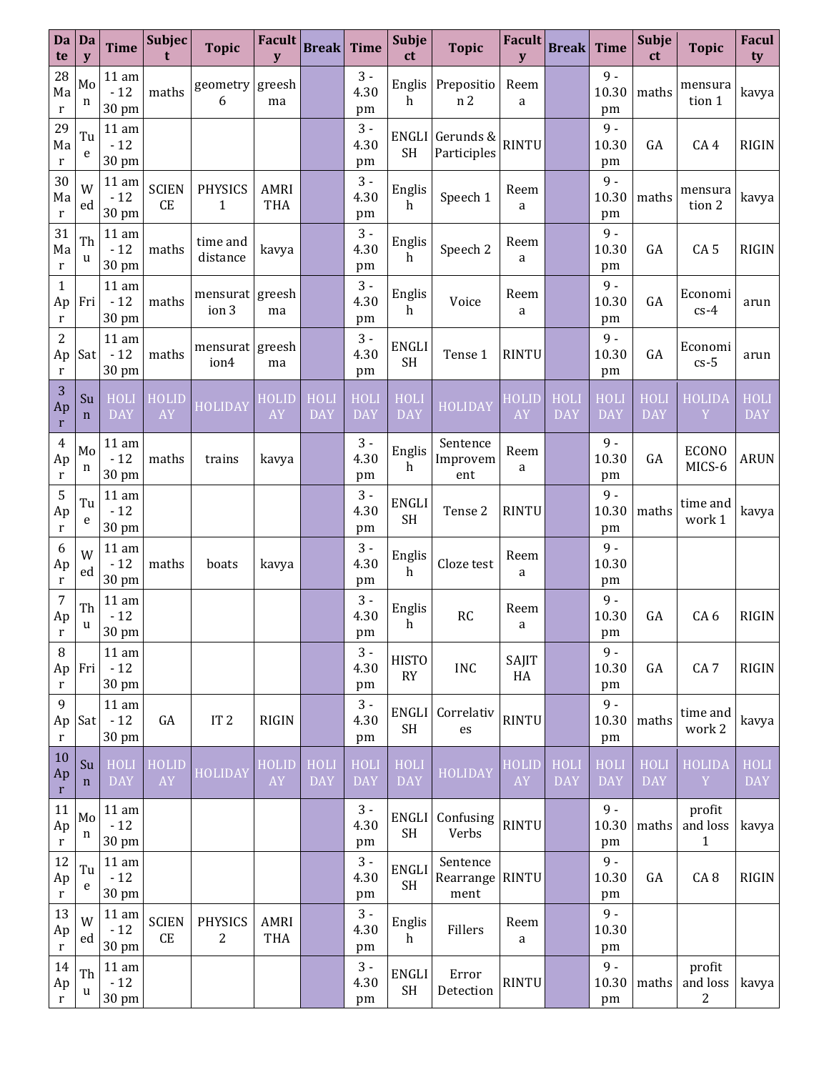| Da<br>te                            | Da<br>y              | <b>Time</b>                         | Subjec<br>t                   | <b>Topic</b>                   | <b>Facult</b><br>${\bf y}$ | <b>Break</b> Time         |                     | <b>Subje</b><br>ct                  | <b>Topic</b>                   | Facult<br>$\mathbf{y}$     | <b>Break</b> Time         |                          | <b>Subje</b><br>ct | <b>Topic</b>                       | Facul<br>ty        |
|-------------------------------------|----------------------|-------------------------------------|-------------------------------|--------------------------------|----------------------------|---------------------------|---------------------|-------------------------------------|--------------------------------|----------------------------|---------------------------|--------------------------|--------------------|------------------------------------|--------------------|
| 28<br>Ma<br>$\mathbf r$             | Mo<br>n              | 11 am<br>$-12$<br>30 pm             | maths                         | geometry greesh<br>6           | ma                         |                           | $3 -$<br>4.30<br>pm | Englis<br>h                         | Prepositio<br>n <sub>2</sub>   | Reem<br>a                  |                           | $9 -$<br>10.30<br>pm     | maths              | mensura<br>tion 1                  | kavya              |
| 29<br>Ma<br>$\mathbf{r}$            | Tu<br>e              | 11 am<br>$-12$<br>30 pm             |                               |                                |                            |                           | $3 -$<br>4.30<br>pm | <b>SH</b>                           | ENGLI Gerunds &<br>Participles | <b>RINTU</b>               |                           | $9 -$<br>10.30<br>pm     | GA                 | CA <sub>4</sub>                    | <b>RIGIN</b>       |
| 30<br>Ma<br>$\mathbf r$             | W<br>ed              | 11 am<br>$-12$<br>30 pm             | <b>SCIEN</b><br>$\mathsf{CE}$ | <b>PHYSICS</b><br>$\mathbf{1}$ | AMRI<br>THA                |                           | $3 -$<br>4.30<br>pm | Englis<br>h                         | Speech 1                       | Reem<br>a                  |                           | $9 -$<br>10.30<br>pm     | maths              | mensura<br>tion 2                  | kavya              |
| 31<br>Ma<br>$\mathbf{r}$            | Th<br>u              | 11 am<br>$-12$<br>30 pm             | maths                         | time and<br>distance           | kavya                      |                           | $3 -$<br>4.30<br>pm | Englis<br>h                         | Speech 2                       | Reem<br>a                  |                           | $9 -$<br>10.30<br>pm     | GA                 | CA <sub>5</sub>                    | <b>RIGIN</b>       |
| $\mathbf{1}$<br>Ap<br>$\mathbf{r}$  | Fri                  | 11 am<br>$-12$<br>30 pm             | maths                         | mensurat greesh<br>ion 3       | ma                         |                           | $3 -$<br>4.30<br>pm | Englis<br>h                         | Voice                          | Reem<br>a                  |                           | $9 -$<br>10.30<br>pm     | GA                 | Economi<br>$cs-4$                  | arun               |
| $\overline{2}$<br>Ap<br>$\mathbf r$ | Sat                  | 11 am<br>$-12$<br>30 pm             | maths                         | mensurat greesh<br>ion4        | ma                         |                           | $3 -$<br>4.30<br>pm | <b>ENGLI</b><br><b>SH</b>           | Tense 1                        | <b>RINTU</b>               |                           | $9 -$<br>10.30<br>pm     | GA                 | Economi<br>$cs-5$                  | arun               |
| 3<br>Ap<br>$\mathbf r$              | Su<br>$\mathbf n$    | HOLI<br><b>DAY</b>                  | <b>HOLID</b><br>AY            | <b>HOLIDAY</b>                 | HOLID<br>AY                | <b>HOLI</b><br><b>DAY</b> | HOLI<br><b>DAY</b>  | <b>HOLI</b><br><b>DAY</b>           | <b>HOLIDAY</b>                 | <b>HOLID</b><br>${\rm AY}$ | <b>HOLI</b><br><b>DAY</b> | <b>HOL</b><br><b>DAY</b> | HOL:<br><b>DAY</b> | <b>HOLIDA</b><br>Y                 | HOLI<br><b>DAY</b> |
| $\overline{4}$<br>Ap<br>$\mathbf r$ | Mo<br>n              | 11 am<br>$-12$<br>30 pm             | maths                         | trains                         | kavya                      |                           | $3 -$<br>4.30<br>pm | Englis<br>h                         | Sentence<br>Improvem<br>ent    | Reem<br>a                  |                           | $9 -$<br>10.30<br>pm     | GA                 | <b>ECONO</b><br>MICS-6             | <b>ARUN</b>        |
| 5<br>Ap<br>r                        | Tu<br>e              | 11 am<br>$-12$<br>30 pm             |                               |                                |                            |                           | $3 -$<br>4.30<br>pm | <b>ENGLI</b><br><b>SH</b>           | Tense 2                        | RINTU                      |                           | $9 -$<br>10.30<br>pm     | maths              | time and<br>work 1                 | kavya              |
| 6<br>Ap<br>r                        | W<br>ed              | 11 am<br>$-12$<br>30 pm             | maths                         | boats                          | kavya                      |                           | $3 -$<br>4.30<br>pm | Englis<br>h                         | Cloze test                     | Reem<br>a                  |                           | $9 -$<br>10.30<br>pm     |                    |                                    |                    |
| 7<br>Ap<br>$\mathbf r$              | Th<br>u              | 11 am<br>$-12$<br>30 pm             |                               |                                |                            |                           | $3 -$<br>4.30<br>pm | Englis<br>$\boldsymbol{\mathsf{h}}$ | <b>RC</b>                      | Reem<br>a                  |                           | $9 -$<br>10.30<br>pm     | GA                 | CA <sub>6</sub>                    | <b>RIGIN</b>       |
| 8<br>Ap<br>$\mathbf{r}$             | Fri                  | 11 am<br>$-12$<br>30 pm             |                               |                                |                            |                           | $3 -$<br>4.30<br>pm | <b>HISTO</b><br>RY                  | <b>INC</b>                     | SAJIT<br>HA                |                           | $9 -$<br>10.30<br>pm     | GA                 | CA <sub>7</sub>                    | <b>RIGIN</b>       |
| 9<br>Ap<br>$\mathbf r$              | Sat                  | 11 am<br>$-12$<br>30 pm             | GA                            | IT <sub>2</sub>                | <b>RIGIN</b>               |                           | $3 -$<br>4.30<br>pm | <b>SH</b>                           | ENGLI Correlativ<br>es         | RINTU                      |                           | $9 -$<br>10.30<br>pm     | maths              | time and<br>work 2                 | kavya              |
| 10<br>Ap<br>$\mathbf r$             | Su<br>$\mathbf n$    | HOLI<br><b>DAY</b>                  | HOLID<br>${\rm A}{\rm Y}$     | <b>HOLIDAY</b>                 | HOLID<br><b>AY</b>         | HOLI<br><b>DAY</b>        | HOLI<br><b>DAY</b>  | <b>HOLI</b><br><b>DAY</b>           | <b>HOLIDAY</b>                 | <b>HOLID</b><br>${\rm AY}$ | HOLI<br><b>DAY</b>        | HOLI<br><b>DAY</b>       | HOL<br><b>DAY</b>  | <b>HOLIDA</b><br>Y                 | HOLI<br><b>DAY</b> |
| 11<br>Ap<br>$\mathbf r$             | Mo<br>n              | 11 am<br>$-12$<br>30 pm             |                               |                                |                            |                           | $3 -$<br>4.30<br>pm | <b>ENGLI</b><br><b>SH</b>           | Confusing<br>Verbs             | <b>RINTU</b>               |                           | $9 -$<br>10.30<br>pm     | maths              | profit<br>and loss<br>$\mathbf{1}$ | kavya              |
| 12<br>Ap<br>$\mathbf r$             | Tu<br>$\mathsf{e}\,$ | 11 am<br>$-12$<br>30 pm             |                               |                                |                            |                           | $3 -$<br>4.30<br>pm | <b>ENGLI</b><br><b>SH</b>           | Sentence<br>Rearrange<br>ment  | RINTU                      |                           | $9 -$<br>10.30<br>pm     | GA                 | CA <sub>8</sub>                    | <b>RIGIN</b>       |
| 13<br>Ap<br>$\mathbf r$             | W<br>ed              | $11\,\mathrm{am}$<br>$-12$<br>30 pm | <b>SCIEN</b><br>CE            | <b>PHYSICS</b><br>$\mathbf{2}$ | AMRI<br>THA                |                           | $3 -$<br>4.30<br>pm | Englis<br>h                         | Fillers                        | Reem<br>a                  |                           | $9 -$<br>10.30<br>pm     |                    |                                    |                    |
| 14<br>Ap<br>$\mathbf r$             | Th<br><b>u</b>       | 11 am<br>$-12$<br>30 pm             |                               |                                |                            |                           | $3 -$<br>4.30<br>pm | ENGLI<br><b>SH</b>                  | Error<br>Detection             | RINTU                      |                           | $9 -$<br>10.30<br>pm     | maths              | profit<br>and loss<br>$\mathbf{2}$ | kavya              |